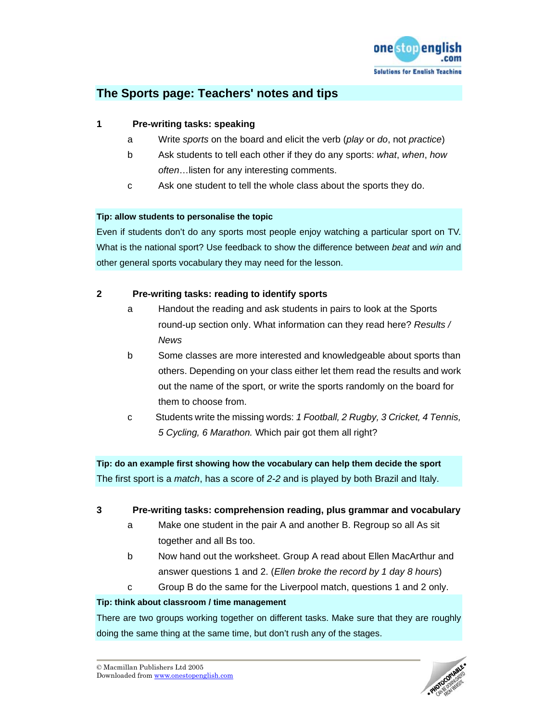

# **The Sports page: Teachers' notes and tips**

# **1 Pre-writing tasks: speaking**

- a Write *sports* on the board and elicit the verb (*play* or *do*, not *practice*)
- b Ask students to tell each other if they do any sports: *what*, *when*, *how often*…listen for any interesting comments.
- c Ask one student to tell the whole class about the sports they do.

## **Tip: allow students to personalise the topic**

Even if students don't do any sports most people enjoy watching a particular sport on TV. What is the national sport? Use feedback to show the difference between *beat* and *win* and other general sports vocabulary they may need for the lesson.

# **2 Pre-writing tasks: reading to identify sports**

- a Handout the reading and ask students in pairs to look at the Sports round-up section only. What information can they read here? *Results / News*
- b Some classes are more interested and knowledgeable about sports than others. Depending on your class either let them read the results and work out the name of the sport, or write the sports randomly on the board for them to choose from.
- c Students write the missing words: *1 Football, 2 Rugby, 3 Cricket, 4 Tennis, 5 Cycling, 6 Marathon.* Which pair got them all right?

**Tip: do an example first showing how the vocabulary can help them decide the sport**  The first sport is a *match*, has a score of *2-2* and is played by both Brazil and Italy.

## **3 Pre-writing tasks: comprehension reading, plus grammar and vocabulary**

- a Make one student in the pair A and another B. Regroup so all As sit together and all Bs too.
- b Now hand out the worksheet. Group A read about Ellen MacArthur and answer questions 1 and 2. (*Ellen broke the record by 1 day 8 hours*)
- c Group B do the same for the Liverpool match, questions 1 and 2 only.

## **Tip: think about classroom / time management**

There are two groups working together on different tasks. Make sure that they are roughly doing the same thing at the same time, but don't rush any of the stages.

© Macmillan Publishers Ltd 2005 Downloaded from www.onestopenglish.com

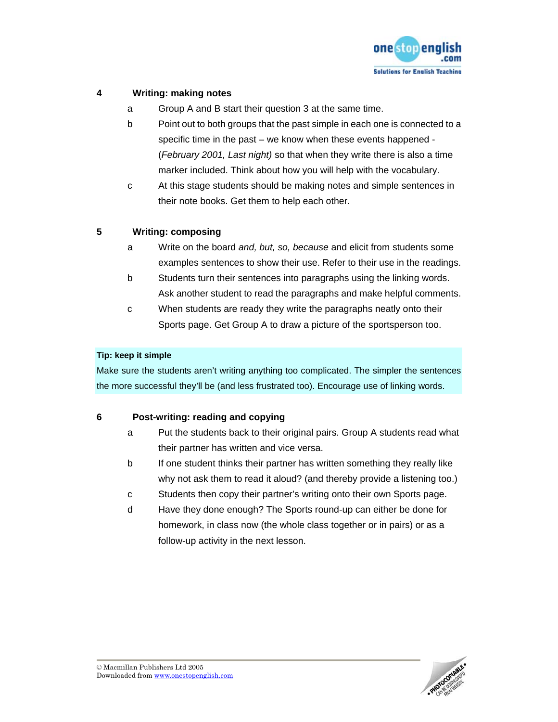

# **4 Writing: making notes**

- a Group A and B start their question 3 at the same time.
- b Point out to both groups that the past simple in each one is connected to a specific time in the past – we know when these events happened - (*February 2001, Last night)* so that when they write there is also a time marker included. Think about how you will help with the vocabulary.
- c At this stage students should be making notes and simple sentences in their note books. Get them to help each other.

# **5 Writing: composing**

- a Write on the board *and, but, so, because* and elicit from students some examples sentences to show their use. Refer to their use in the readings.
- b Students turn their sentences into paragraphs using the linking words. Ask another student to read the paragraphs and make helpful comments.
- c When students are ready they write the paragraphs neatly onto their Sports page. Get Group A to draw a picture of the sportsperson too.

## **Tip: keep it simple**

Make sure the students aren't writing anything too complicated. The simpler the sentences the more successful they'll be (and less frustrated too). Encourage use of linking words.

## **6 Post-writing: reading and copying**

- a Put the students back to their original pairs. Group A students read what their partner has written and vice versa.
- b If one student thinks their partner has written something they really like why not ask them to read it aloud? (and thereby provide a listening too.)
- c Students then copy their partner's writing onto their own Sports page.
- d Have they done enough? The Sports round-up can either be done for homework, in class now (the whole class together or in pairs) or as a follow-up activity in the next lesson.